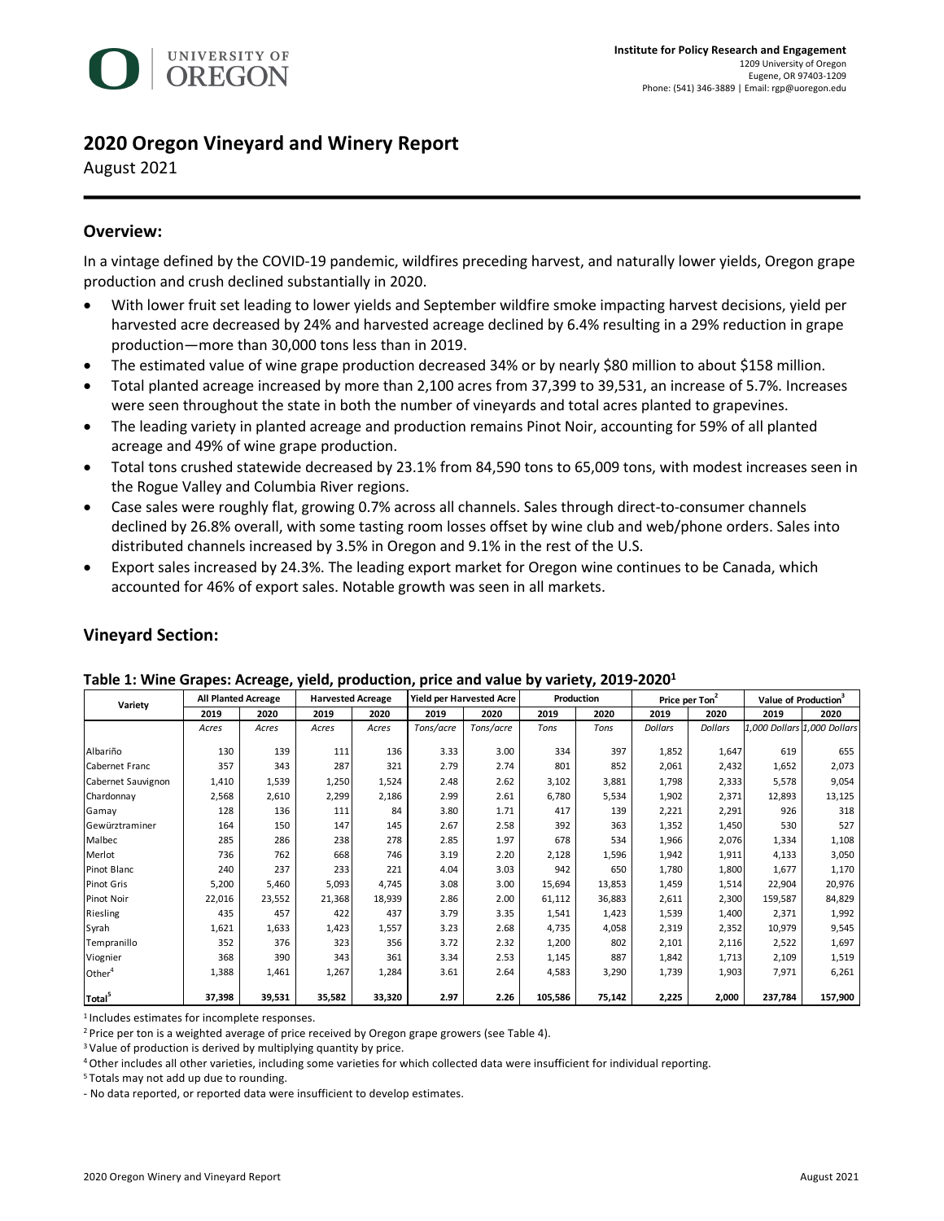

# **2020 Oregon Vineyard and Winery Report**

August 2021

# **Overview:**

In a vintage defined by the COVID-19 pandemic, wildfires preceding harvest, and naturally lower yields, Oregon grape production and crush declined substantially in 2020.

- With lower fruit set leading to lower yields and September wildfire smoke impacting harvest decisions, yield per harvested acre decreased by 24% and harvested acreage declined by 6.4% resulting in a 29% reduction in grape production—more than 30,000 tons less than in 2019.
- The estimated value of wine grape production decreased 34% or by nearly \$80 million to about \$158 million.
- Total planted acreage increased by more than 2,100 acres from 37,399 to 39,531, an increase of 5.7%. Increases were seen throughout the state in both the number of vineyards and total acres planted to grapevines.
- The leading variety in planted acreage and production remains Pinot Noir, accounting for 59% of all planted acreage and 49% of wine grape production.
- Total tons crushed statewide decreased by 23.1% from 84,590 tons to 65,009 tons, with modest increases seen in the Rogue Valley and Columbia River regions.
- Case sales were roughly flat, growing 0.7% across all channels. Sales through direct-to-consumer channels declined by 26.8% overall, with some tasting room losses offset by wine club and web/phone orders. Sales into distributed channels increased by 3.5% in Oregon and 9.1% in the rest of the U.S.
- Export sales increased by 24.3%. The leading export market for Oregon wine continues to be Canada, which accounted for 46% of export sales. Notable growth was seen in all markets.

| Variety            | <b>All Planted Acreage</b> |        | <b>Harvested Acreage</b> |        |           | <b>Yield per Harvested Acre</b> | Production |        |                | Price per Ton <sup>2</sup> |         | Value of Production <sup>3</sup> |
|--------------------|----------------------------|--------|--------------------------|--------|-----------|---------------------------------|------------|--------|----------------|----------------------------|---------|----------------------------------|
|                    | 2019                       | 2020   | 2019                     | 2020   | 2019      | 2020                            | 2019       | 2020   | 2019           | 2020                       | 2019    | 2020                             |
|                    | Acres                      | Acres  | Acres                    | Acres  | Tons/acre | Tons/acre                       | Tons       | Tons   | <b>Dollars</b> | <b>Dollars</b>             |         | 1,000 Dollars 1,000 Dollars      |
| Albariño           | 130                        | 139    | 111                      | 136    | 3.33      | 3.00                            | 334        | 397    | 1,852          | 1,647                      | 619     | 655                              |
| Cabernet Franc     | 357                        | 343    | 287                      | 321    | 2.79      | 2.74                            | 801        | 852    | 2,061          | 2,432                      | 1,652   | 2,073                            |
| Cabernet Sauvignon | 1,410                      | 1,539  | 1,250                    | 1,524  | 2.48      | 2.62                            | 3,102      | 3,881  | 1,798          | 2,333                      | 5,578   | 9,054                            |
| Chardonnay         | 2,568                      | 2,610  | 2,299                    | 2,186  | 2.99      | 2.61                            | 6,780      | 5,534  | 1,902          | 2,371                      | 12,893  | 13,125                           |
| Gamay              | 128                        | 136    | 111                      | 84     | 3.80      | 1.71                            | 417        | 139    | 2,221          | 2,291                      | 926     | 318                              |
| Gewürztraminer     | 164                        | 150    | 147                      | 145    | 2.67      | 2.58                            | 392        | 363    | 1,352          | 1,450                      | 530     | 527                              |
| Malbec             | 285                        | 286    | 238                      | 278    | 2.85      | 1.97                            | 678        | 534    | 1,966          | 2,076                      | 1,334   | 1,108                            |
| Merlot             | 736                        | 762    | 668                      | 746    | 3.19      | 2.20                            | 2,128      | 1,596  | 1,942          | 1,911                      | 4,133   | 3,050                            |
| Pinot Blanc        | 240                        | 237    | 233                      | 221    | 4.04      | 3.03                            | 942        | 650    | 1,780          | 1,800                      | 1,677   | 1,170                            |
| Pinot Gris         | 5,200                      | 5,460  | 5,093                    | 4,745  | 3.08      | 3.00                            | 15,694     | 13,853 | 1,459          | 1,514                      | 22,904  | 20,976                           |
| Pinot Noir         | 22,016                     | 23,552 | 21,368                   | 18,939 | 2.86      | 2.00                            | 61,112     | 36,883 | 2,611          | 2,300                      | 159,587 | 84,829                           |
| Riesling           | 435                        | 457    | 422                      | 437    | 3.79      | 3.35                            | 1,541      | 1,423  | 1,539          | 1,400                      | 2,371   | 1,992                            |
| Syrah              | 1,621                      | 1,633  | 1,423                    | 1,557  | 3.23      | 2.68                            | 4,735      | 4,058  | 2,319          | 2,352                      | 10,979  | 9,545                            |
| Tempranillo        | 352                        | 376    | 323                      | 356    | 3.72      | 2.32                            | 1,200      | 802    | 2,101          | 2,116                      | 2,522   | 1,697                            |
| Viognier           | 368                        | 390    | 343                      | 361    | 3.34      | 2.53                            | 1,145      | 887    | 1,842          | 1,713                      | 2,109   | 1,519                            |
| Other <sup>4</sup> | 1,388                      | 1,461  | 1,267                    | 1,284  | 3.61      | 2.64                            | 4,583      | 3,290  | 1,739          | 1,903                      | 7,971   | 6,261                            |
| Total <sup>5</sup> | 37,398                     | 39,531 | 35,582                   | 33,320 | 2.97      | 2.26                            | 105,586    | 75,142 | 2,225          | 2,000                      | 237,784 | 157,900                          |

# **Vineyard Section:**

| Table 1: Wine Grapes: Acreage, yield, production, price and value by variety, 2019-2020 <sup>1</sup> |  |  |  |
|------------------------------------------------------------------------------------------------------|--|--|--|
|------------------------------------------------------------------------------------------------------|--|--|--|

1 Includes estimates for incomplete responses.

<sup>2</sup> Price per ton is a weighted average of price received by Oregon grape growers (see Table 4).

<sup>3</sup> Value of production is derived by multiplying quantity by price.

4Other includes all other varieties, including some varieties for which collected data were insufficient for individual reporting.

5 Totals may not add up due to rounding.

- No data reported, or reported data were insufficient to develop estimates.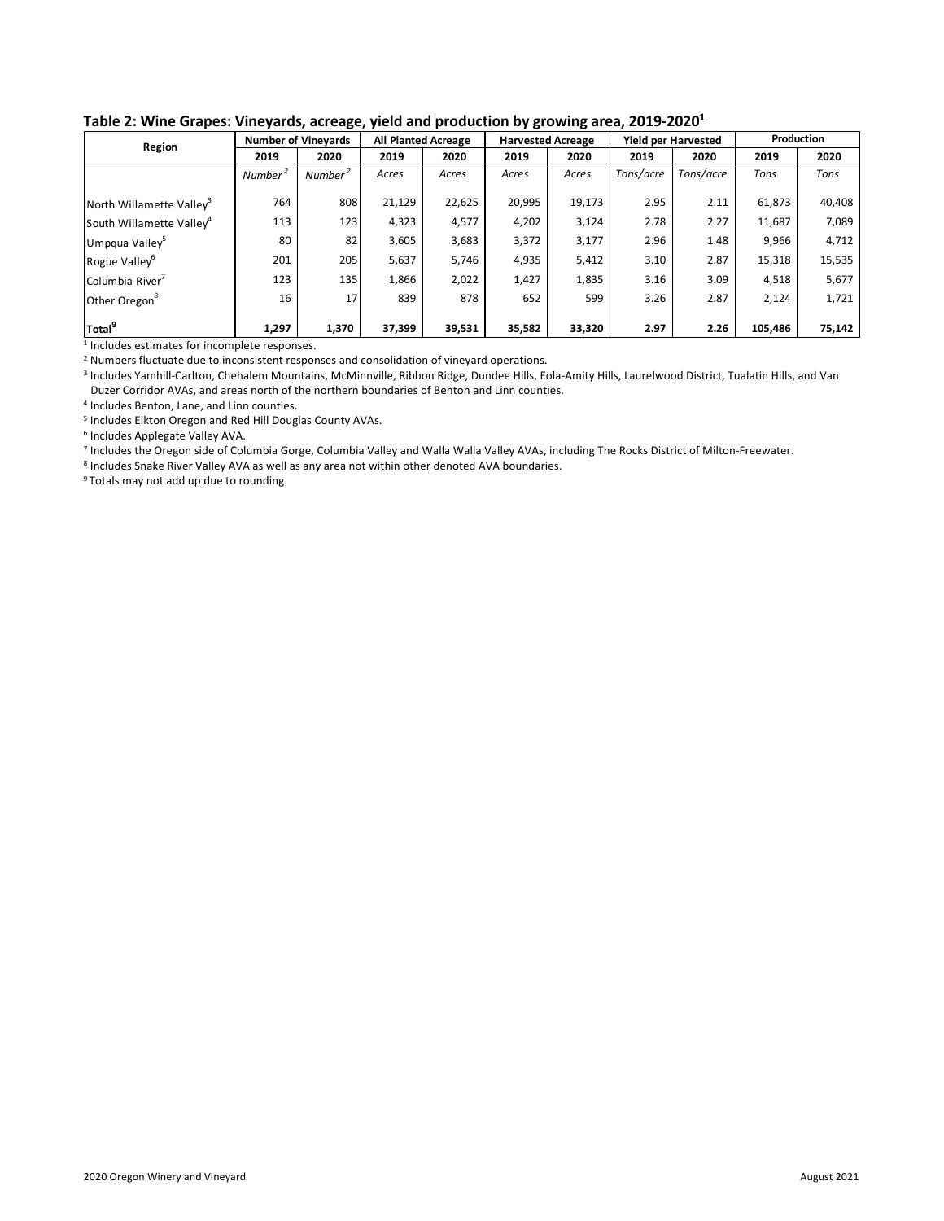| Region                               |                     | <b>Number of Vinevards</b> | <b>All Planted Acreage</b> |        | <b>Harvested Acreage</b> |        |           | <b>Yield per Harvested</b> | Production |        |
|--------------------------------------|---------------------|----------------------------|----------------------------|--------|--------------------------|--------|-----------|----------------------------|------------|--------|
|                                      | 2019                | 2020                       | 2019                       | 2020   | 2019                     | 2020   | 2019      | 2020                       | 2019       | 2020   |
|                                      | Number <sup>4</sup> | Number <sup>2</sup>        | Acres                      | Acres  | Acres                    | Acres  | Tons/acre | Tons/acre                  | Tons       | Tons   |
| North Willamette Valley <sup>3</sup> | 764                 | 808                        | 21,129                     | 22,625 | 20,995                   | 19,173 | 2.95      | 2.11                       | 61,873     | 40,408 |
| South Willamette Valley <sup>4</sup> | 113                 | 123                        | 4,323                      | 4,577  | 4,202                    | 3,124  | 2.78      | 2.27                       | 11,687     | 7,089  |
| Umpqua Valley <sup>5</sup>           | 80                  | 82                         | 3,605                      | 3,683  | 3,372                    | 3,177  | 2.96      | 1.48                       | 9,966      | 4,712  |
| Rogue Valley <sup>6</sup>            | 201                 | 205                        | 5,637                      | 5,746  | 4,935                    | 5,412  | 3.10      | 2.87                       | 15,318     | 15,535 |
| Columbia River                       | 123                 | 135                        | 1,866                      | 2,022  | 1,427                    | 1,835  | 3.16      | 3.09                       | 4,518      | 5,677  |
| Other Oregon <sup>8</sup>            | 16                  | 17                         | 839                        | 878    | 652                      | 599    | 3.26      | 2.87                       | 2,124      | 1,721  |
| Total <sup>9</sup>                   | 1,297               | 1,370                      | 37,399                     | 39,531 | 35,582                   | 33,320 | 2.97      | 2.26                       | 105,486    | 75,142 |

### **Table 2: Wine Grapes: Vineyards, acreage, yield and production by growing area, 2019-20201**

<sup>1</sup> Includes estimates for incomplete responses.

<sup>2</sup> Numbers fluctuate due to inconsistent responses and consolidation of vineyard operations.

<sup>3</sup> Includes Yamhill-Carlton, Chehalem Mountains, McMinnville, Ribbon Ridge, Dundee Hills, Eola-Amity Hills, Laurelwood District, Tualatin Hills, and Van Duzer Corridor AVAs, and areas north of the northern boundaries of Benton and Linn counties.

<sup>4</sup> Includes Benton, Lane, and Linn counties.

<sup>5</sup> Includes Elkton Oregon and Red Hill Douglas County AVAs.

<sup>6</sup> Includes Applegate Valley AVA.

<sup>7</sup> Includes the Oregon side of Columbia Gorge, Columbia Valley and Walla Walla Valley AVAs, including The Rocks District of Milton-Freewater.

<sup>8</sup> Includes Snake River Valley AVA as well as any area not within other denoted AVA boundaries.

<sup>9</sup> Totals may not add up due to rounding.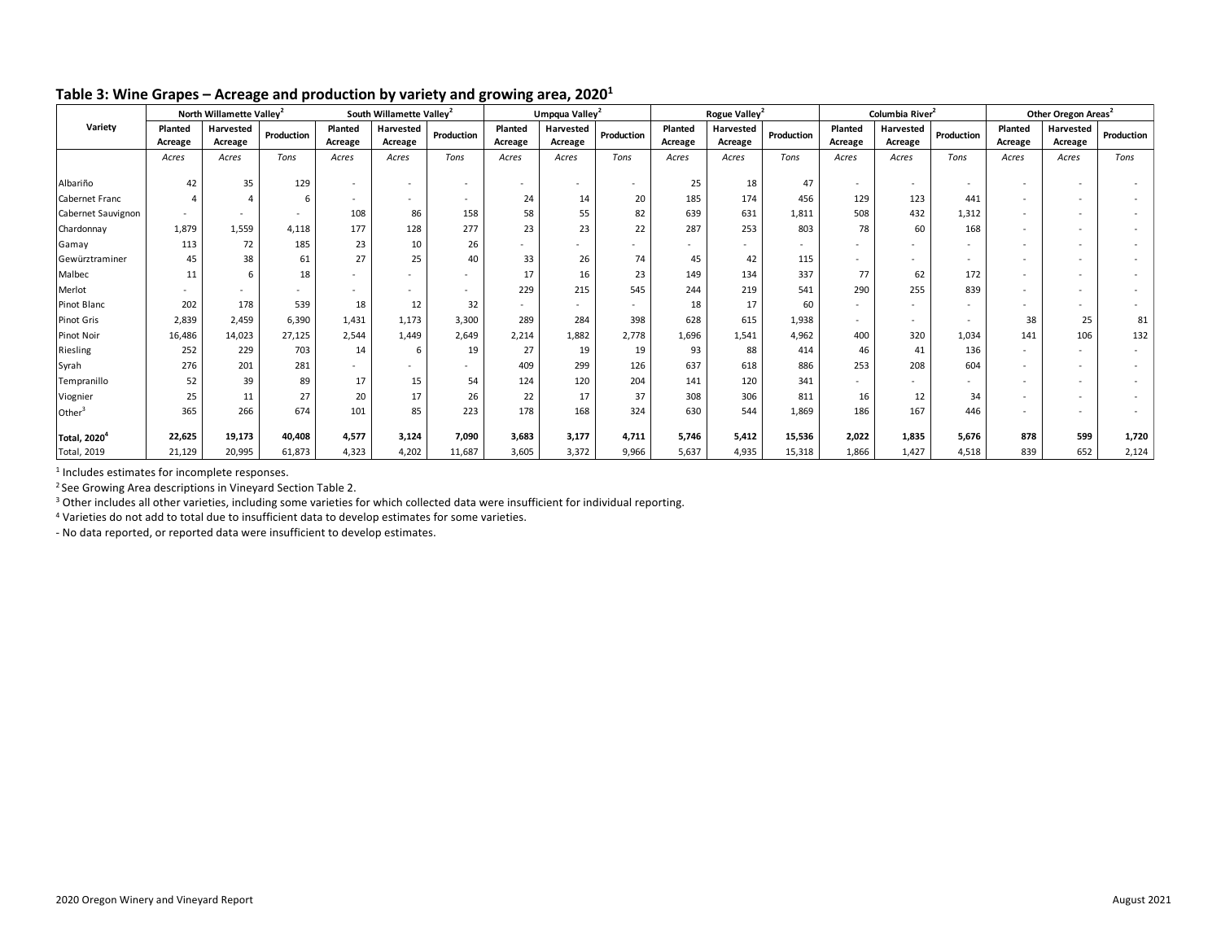|                          |         | North Willamette Valley <sup>2</sup> |            |         | South Willamette Valley <sup>2</sup> |                          |         | Umpqua Valley <sup>2</sup> |            |         | Rogue Valley <sup>2</sup> |            |                          | Columbia River <sup>2</sup> |                          | Other Oregon Areas <sup>2</sup> |           |            |
|--------------------------|---------|--------------------------------------|------------|---------|--------------------------------------|--------------------------|---------|----------------------------|------------|---------|---------------------------|------------|--------------------------|-----------------------------|--------------------------|---------------------------------|-----------|------------|
| Variety                  | Planted | Harvested                            | Production | Planted | Harvested                            | Production               | Planted | Harvested                  | Production | Planted | Harvested                 | Production | Planted                  | Harvested                   | Production               | Planted                         | Harvested | Production |
|                          | Acreage | Acreage                              |            | Acreage | Acreage                              |                          | Acreage | Acreage                    |            | Acreage | Acreage                   |            | Acreage                  | Acreage                     |                          | Acreage                         | Acreage   |            |
|                          | Acres   | Acres                                | Tons       | Acres   | Acres                                | Tons                     | Acres   | Acres                      | Tons       | Acres   | Acres                     | Tons       | Acres                    | Acres                       | Tons                     | Acres                           | Acres     | Tons       |
| Albariño                 | 42      | 35                                   | 129        |         |                                      |                          |         | $\overline{\phantom{a}}$   |            | 25      | 18                        | 47         |                          | $\overline{\phantom{a}}$    |                          |                                 |           |            |
| Cabernet Franc           |         |                                      |            | $\sim$  |                                      | $\sim$                   | 24      | 14                         | 20         | 185     | 174                       | 456        | 129                      | 123                         | 441                      |                                 |           |            |
| Cabernet Sauvignon       |         |                                      |            | 108     | 86                                   | 158                      | 58      | 55                         | 82         | 639     | 631                       | 1,811      | 508                      | 432                         | 1,312                    |                                 |           |            |
| Chardonnay               | 1,879   | 1,559                                | 4,118      | 177     | 128                                  | 277                      | 23      | 23                         | 22         | 287     | 253                       | 803        | 78                       | 60                          | 168                      |                                 |           |            |
| Gamay                    | 113     | 72                                   | 185        | 23      | 10                                   | 26                       | $\sim$  |                            |            |         |                           |            |                          |                             | $\overline{\phantom{a}}$ |                                 |           |            |
| Gewürztraminer           | 45      | 38                                   | 61         | 27      | 25                                   | 40                       | 33      | 26                         | 74         | 45      | 42                        | 115        |                          | $\overline{\phantom{a}}$    | $\overline{\phantom{a}}$ |                                 |           |            |
| Malbec                   | 11      | 6                                    | 18         |         |                                      |                          | 17      | 16                         | 23         | 149     | 134                       | 337        | 77                       | 62                          | 172                      |                                 |           |            |
| Merlot                   |         |                                      |            |         |                                      | $\overline{\phantom{a}}$ | 229     | 215                        | 545        | 244     | 219                       | 541        | 290                      | 255                         | 839                      |                                 |           |            |
| Pinot Blanc              | 202     | 178                                  | 539        | 18      | 12                                   | 32                       | $\sim$  |                            |            | 18      | 17                        | 60         |                          | $\overline{\phantom{a}}$    | $\sim$                   |                                 |           |            |
| Pinot Gris               | 2,839   | 2,459                                | 6,390      | 1,431   | 1,173                                | 3,300                    | 289     | 284                        | 398        | 628     | 615                       | 1,938      | $\overline{\phantom{a}}$ | $\overline{\phantom{a}}$    | $\sim$                   | 38                              | 25        | 81         |
| Pinot Noir               | 16,486  | 14,023                               | 27,125     | 2,544   | 1,449                                | 2,649                    | 2,214   | 1,882                      | 2,778      | 1,696   | 1,541                     | 4,962      | 400                      | 320                         | 1,034                    | 141                             | 106       | 132        |
| Riesling                 | 252     | 229                                  | 703        | 14      | 6                                    | 19                       | 27      | 19                         | 19         | 93      | 88                        | 414        | 46                       | 41                          | 136                      | $\sim$                          |           |            |
| Syrah                    | 276     | 201                                  | 281        |         |                                      | $\sim$                   | 409     | 299                        | 126        | 637     | 618                       | 886        | 253                      | 208                         | 604                      |                                 |           |            |
| Tempranillo              | 52      | 39                                   | 89         | 17      | 15                                   | 54                       | 124     | 120                        | 204        | 141     | 120                       | 341        |                          |                             |                          |                                 |           |            |
| Viognier                 | 25      | 11                                   | 27         | 20      | 17                                   | 26                       | 22      | 17                         | 37         | 308     | 306                       | 811        | 16                       | 12                          | 34                       |                                 |           |            |
| Other $3$                | 365     | 266                                  | 674        | 101     | 85                                   | 223                      | 178     | 168                        | 324        | 630     | 544                       | 1,869      | 186                      | 167                         | 446                      |                                 |           |            |
| Total, 2020 <sup>4</sup> | 22,625  | 19,173                               | 40,408     | 4,577   | 3,124                                | 7,090                    | 3,683   | 3,177                      | 4,711      | 5.746   | 5.412                     | 15,536     | 2.022                    | 1,835                       | 5,676                    | 878                             | 599       | 1,720      |
| <b>Total, 2019</b>       | 21,129  | 20,995                               | 61,873     | 4,323   | 4,202                                | 11,687                   | 3,605   | 3,372                      | 9,966      | 5,637   | 4,935                     | 15,318     | 1,866                    | 1,427                       | 4,518                    | 839                             | 652       | 2,124      |

### **Table 3: Wine Grapes – Acreage and production by variety and growing area, 20201**

<sup>1</sup> Includes estimates for incomplete responses.

<sup>2</sup> See Growing Area descriptions in Vineyard Section Table 2.

<sup>3</sup> Other includes all other varieties, including some varieties for which collected data were insufficient for individual reporting.

<sup>4</sup> Varieties do not add to total due to insufficient data to develop estimates for some varieties.

- No data reported, or reported data were insufficient to develop estimates.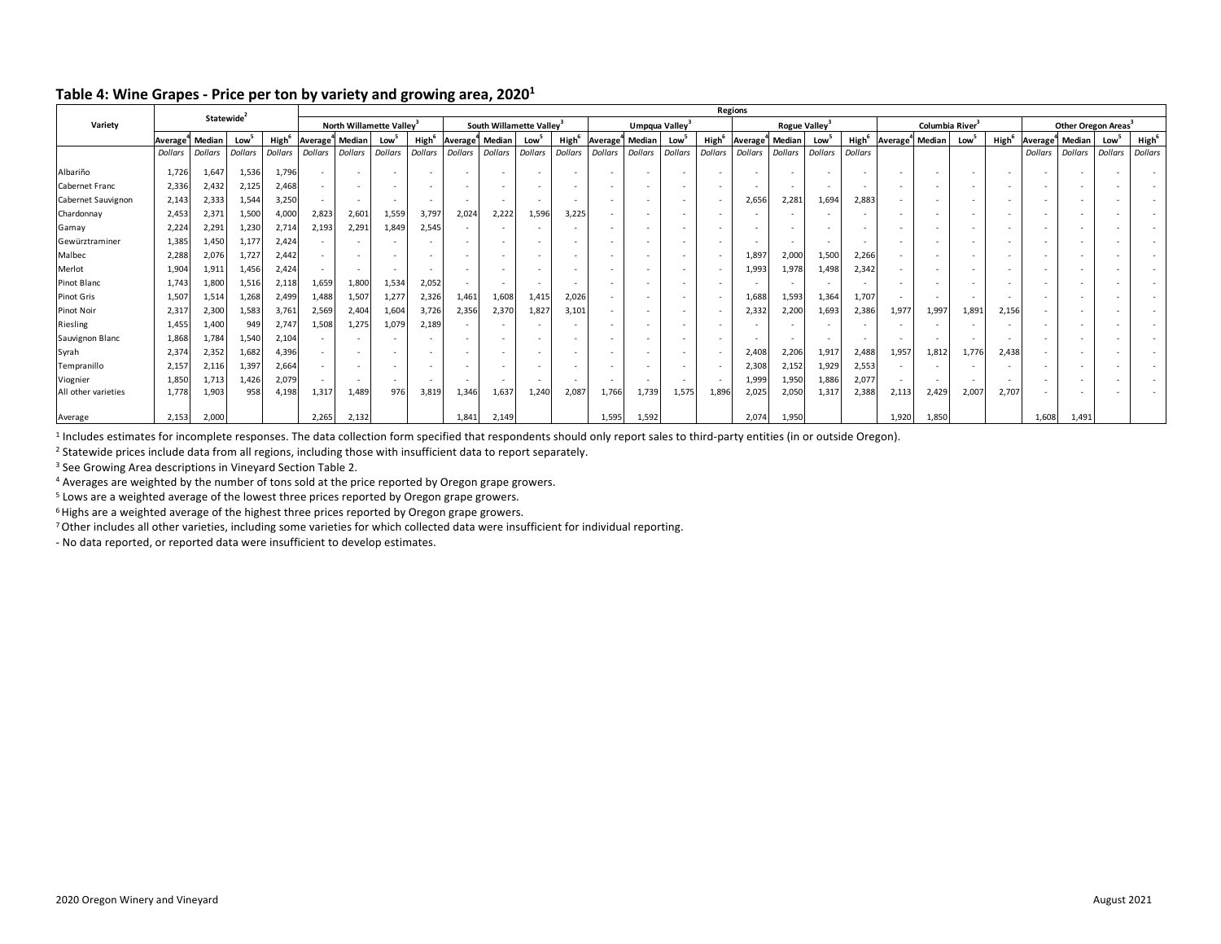|                     |                |                |                        |                |                      | <b>Regions</b>           |                                      |                          |                      |                          |                                      |                   |                          |                            |                          |                   |                      |                |                           |                          |        |                               |        |                   |          |                                 |                |                   |
|---------------------|----------------|----------------|------------------------|----------------|----------------------|--------------------------|--------------------------------------|--------------------------|----------------------|--------------------------|--------------------------------------|-------------------|--------------------------|----------------------------|--------------------------|-------------------|----------------------|----------------|---------------------------|--------------------------|--------|-------------------------------|--------|-------------------|----------|---------------------------------|----------------|-------------------|
| Variety             |                |                | Statewide <sup>2</sup> |                |                      |                          | North Willamette Valley <sup>3</sup> |                          |                      |                          | South Willamette Valley <sup>3</sup> |                   |                          | Umpqua Valley <sup>3</sup> |                          |                   |                      |                | Rogue Valley <sup>3</sup> |                          |        | Columbia River <sup>3</sup>   |        |                   |          | Other Oregon Areas <sup>3</sup> |                |                   |
|                     | Average        | Median         | Low <sup>-</sup>       | High           | Average <sup>®</sup> | Median                   | Low                                  | High                     | Average <sup>"</sup> | Median                   | Low                                  | High <sup>t</sup> | Average <sup>"</sup>     | Median                     | Low                      | High <sup>6</sup> | Average <sup>"</sup> | Median         | Low                       | High <sup>6</sup>        |        | Average <sup>*</sup> l Median | Low    | High <sup>6</sup> | Average" | Median                          | Low            | High <sup>6</sup> |
|                     | <b>Dollars</b> | <b>Dollars</b> | <b>Dollars</b>         | <b>Dollars</b> | Dollars              | <b>Dollars</b>           | <b>Dollars</b>                       | <b>Dollars</b>           | Dollars              | <b>Dollars</b>           | <b>Dollars</b>                       | <b>Dollars</b>    | <b>Dollars</b>           | <b>Dollars</b>             | <b>Dollars</b>           | <b>Dollars</b>    | Dollars              | <b>Dollars</b> | Dollars                   | Dollars                  |        |                               |        |                   | Dollars  | <b>Dollars</b>                  | <b>Dollars</b> | <b>Dollars</b>    |
| Albariño            | 1,726          | 1,647          | 1,536                  | 1,796          |                      | $\overline{\phantom{a}}$ |                                      | $\sim$                   |                      |                          |                                      |                   |                          | $\overline{\phantom{a}}$   | $\overline{\phantom{a}}$ |                   |                      |                |                           | . .                      |        | $\overline{\phantom{a}}$      | $\sim$ |                   |          |                                 |                |                   |
| Cabernet Franc      | 2,336          | 2,432          | 2,125                  | 2,468          |                      | $\overline{\phantom{a}}$ | $\sim$                               | $\sim$                   |                      |                          |                                      |                   |                          | $\overline{\phantom{a}}$   | $\overline{\phantom{a}}$ |                   |                      |                |                           | . .                      |        | $\overline{\phantom{a}}$      | $\sim$ |                   |          |                                 |                |                   |
| Cabernet Sauvignon  | 2,143          | 2,333          | 1,544                  | 3,250          |                      | $\sim$                   | $\overline{\phantom{a}}$             | $\overline{\phantom{a}}$ |                      | $\sim$                   | $\sim$                               | . .               | $\overline{\phantom{a}}$ | $\sim$                     | $\sim$                   | $\sim$            | 2,656                | 2,281          | 1.694                     | 2,883                    | $\sim$ | $\overline{\phantom{a}}$      | $\sim$ |                   |          |                                 |                |                   |
| Chardonnay          | 2,453          | 2,371          | 1,500                  | 4,000          | 2,823                | 2,601                    | 1,559                                | 3,797                    | 2,024                | 2,222                    | 1,596                                | 3.225             | $\overline{\phantom{a}}$ | $\sim$                     | $\sim$                   | $\sim$            |                      |                |                           | . .                      | $\sim$ | $\overline{\phantom{a}}$      | $\sim$ |                   |          |                                 |                |                   |
| Gamay               | 2,224          | 2,291          | 1,230                  | 2,714          | 2,193                | 2,291                    | 1,849                                | 2,545                    |                      |                          |                                      |                   |                          | $\overline{\phantom{a}}$   | $\overline{\phantom{a}}$ |                   |                      |                |                           |                          |        | $\overline{\phantom{a}}$      | $\sim$ |                   |          |                                 |                |                   |
| Gewürztraminer      | 1,385          | 1,450          | 1,177                  | 2,424          |                      | $\sim$                   | ٠                                    |                          |                      |                          | $\overline{\phantom{a}}$             |                   | $\overline{\phantom{a}}$ | $\sim$                     | $\sim$                   |                   | $\sim$               | $\,$           | $\overline{\phantom{a}}$  | $\overline{\phantom{a}}$ | $\sim$ | ۰                             |        |                   |          |                                 |                |                   |
| Malbec              | 2,288          | 2,076          | 1,727                  | 2,442          |                      | $\sim$                   |                                      |                          |                      |                          |                                      |                   | $\overline{\phantom{a}}$ |                            | $\sim$                   |                   | 1,897                | 2,000          | 1,500                     | 2,266                    | $\sim$ | ۰                             | $\sim$ |                   |          |                                 |                |                   |
| Merlot              | 1,904          | 1,911          | 1,456                  | 2,424          |                      | $\sim$                   | $\sim$                               | $\sim$                   |                      | $\overline{\phantom{a}}$ |                                      |                   | $\overline{\phantom{a}}$ | $\sim$                     | $\sim$                   | $\sim$            | 1,993                | 1,978          | 1,498                     | 2,342                    | $\sim$ | $\overline{\phantom{a}}$      | $\sim$ |                   |          |                                 |                |                   |
| Pinot Blanc         | 1,743          | 1,800          | 1,516                  | 2,118          | 1,659                | 1,800                    | 1,534                                | 2,052                    |                      |                          |                                      |                   |                          |                            | $\overline{\phantom{a}}$ |                   |                      |                |                           |                          |        | ۰                             |        |                   |          |                                 |                |                   |
| Pinot Gris          | 1,507          | 1,514          | 1,268                  | 2,499          | 1,488                | 1,507                    | 1,277                                | 2,326                    | 1,461                | 1,608                    | 1,415                                | 2,026             | $\overline{\phantom{a}}$ | ٠                          | $\overline{\phantom{a}}$ |                   | 1,688                | 1,593          | 1,364                     | 1,707                    | $\sim$ | $\overline{\phantom{a}}$      |        |                   |          |                                 |                |                   |
| <b>Pinot Noir</b>   | 2,317          | 2,300          | 1,583                  | 3,761          | 2,569                | 2,404                    | 1,604                                | 3,726                    | 2,356                | 2,370                    | 1,827                                | 3,101             |                          | $\sim$                     | $\sim$                   |                   | 2,332                | 2,200          | 1,693                     | 2,386                    | 1,977  | 1,99                          | 1,891  | 2,156             |          |                                 |                |                   |
| Riesling            | 1,455          | 1,400          | 949                    | 2,747          | 1,508                | 1,275                    | 1,079                                | 2,189                    |                      |                          |                                      |                   | $\overline{\phantom{a}}$ |                            |                          |                   |                      |                |                           |                          |        | ۰                             |        |                   |          |                                 |                |                   |
| Sauvignon Blanc     | 1,868          | 1,784          | 1,540                  | 2,104          |                      | $\sim$                   |                                      | $\sim$                   |                      |                          |                                      |                   |                          |                            | $\overline{\phantom{a}}$ |                   |                      |                |                           |                          |        |                               |        |                   |          |                                 |                |                   |
| Syrah               | 2,374          | 2,352          | 1,682                  | 4,396          |                      | $\sim$                   |                                      |                          |                      |                          |                                      |                   | $\overline{\phantom{a}}$ | $\sim$                     | $\overline{\phantom{a}}$ |                   | 2,408                | 2,206          | 1,917                     | 2,488                    | 1,957  | 1,81                          | 1,776  | 2,438             |          |                                 |                |                   |
| Tempranillo         | 2,157          | 2,116          | 1,397                  | 2,664          |                      | $\sim$                   |                                      | $\sim$                   |                      |                          |                                      |                   |                          |                            | $\sim$                   |                   | 2,308                | 2,152          | 1,929                     | 2,553                    |        | $\overline{\phantom{a}}$      |        |                   |          |                                 |                |                   |
| Viognier            | 1,850          | 1,713          | 1,426                  | 2,079          |                      | $\sim$                   | $\sim$                               | $\sim$                   |                      |                          |                                      |                   | $\sim$                   | $\overline{\phantom{a}}$   | $\overline{\phantom{a}}$ |                   | 1,999                | 1,950          | 1,886                     | 2,077                    |        | $\sim$                        | $\sim$ |                   |          |                                 |                |                   |
| All other varieties | 1,778          | 1,903          | 958                    | 4,198          | 1,317                | 1,489                    | 976                                  | 3,819                    | 1,346                | 1,637                    | 1,240                                | 2,087             | 1,766                    | 1,739                      | 1,575                    | 1,896             | 2,025                | 2,050          | 1,317                     | 2,388                    | 2,113  | 2,429                         | 2,007  | 2,707             |          |                                 |                |                   |
| Average             | 2,153          | 2,000          |                        |                | 2,265                | 2,132                    |                                      |                          | 1,841                | 2,149                    |                                      |                   | 1,595                    | 1,592                      |                          |                   | 2,074                | 1,950          |                           |                          | 1,920  | 1,850                         |        |                   | 1,608    | 1,491                           |                |                   |

### **Table 4: Wine Grapes - Price per ton by variety and growing area, 20201**

 $1$  Includes estimates for incomplete responses. The data collection form specified that respondents should only report sales to third-party entities (in or outside Oregon).

<sup>2</sup> Statewide prices include data from all regions, including those with insufficient data to report separately.

<sup>3</sup> See Growing Area descriptions in Vineyard Section Table 2.

<sup>4</sup> Averages are weighted by the number of tons sold at the price reported by Oregon grape growers.

<sup>5</sup> Lows are a weighted average of the lowest three prices reported by Oregon grape growers.

<sup>6</sup> Highs are a weighted average of the highest three prices reported by Oregon grape growers.

7 Other includes all other varieties, including some varieties for which collected data were insufficient for individual reporting.

- No data reported, or reported data were insufficient to develop estimates.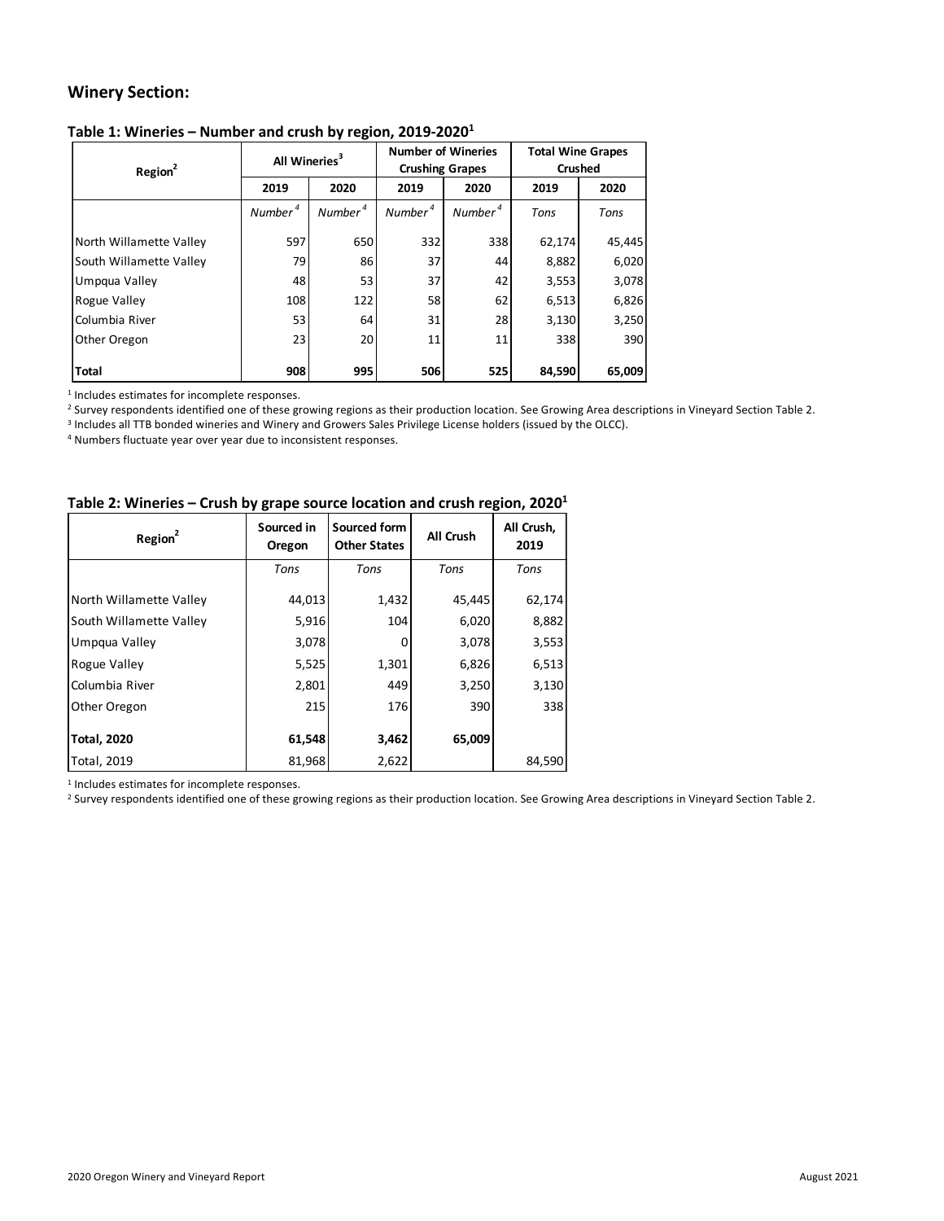# **Winery Section:**

### **Table 1: Wineries – Number and crush by region, 2019-20201**

|                         | All Wineries <sup>3</sup> |                     | <b>Number of Wineries</b> |                     |        | <b>Total Wine Grapes</b><br><b>Crushed</b><br>2020<br>2019<br>Tons<br>Tons<br>62,174<br>8,882<br>3,553 |  |  |  |
|-------------------------|---------------------------|---------------------|---------------------------|---------------------|--------|--------------------------------------------------------------------------------------------------------|--|--|--|
| Region <sup>2</sup>     |                           |                     | <b>Crushing Grapes</b>    |                     |        |                                                                                                        |  |  |  |
|                         | 2019                      | 2020                | 2019                      | 2020                |        |                                                                                                        |  |  |  |
|                         | Number <sup>4</sup>       | Number <sup>4</sup> | Number <sup>4</sup>       | Number <sup>4</sup> |        |                                                                                                        |  |  |  |
| North Willamette Valley | 597                       | 650                 | 332                       | 338                 |        | 45,445                                                                                                 |  |  |  |
| South Willamette Valley | 79                        | 86                  | 37                        | 44                  |        | 6,020                                                                                                  |  |  |  |
| Umpgua Valley           | 48                        | 53                  | 37                        | 42                  |        | 3,078                                                                                                  |  |  |  |
| Rogue Valley            | 108                       | 122                 | 58                        | 62                  | 6,513  | 6,826                                                                                                  |  |  |  |
| Columbia River          | 53                        | 64                  | 31                        | 28                  | 3,130  | 3,250                                                                                                  |  |  |  |
| Other Oregon            | 23                        | 20                  | 11                        | 11                  | 338    | 390                                                                                                    |  |  |  |
| <b>Total</b>            | 908                       | 995                 | 506                       | 525                 | 84,590 | 65,009                                                                                                 |  |  |  |

<sup>1</sup> Includes estimates for incomplete responses.

<sup>2</sup> Survey respondents identified one of these growing regions as their production location. See Growing Area descriptions in Vineyard Section Table 2.

<sup>3</sup> Includes all TTB bonded wineries and Winery and Growers Sales Privilege License holders (issued by the OLCC).

<sup>4</sup> Numbers fluctuate year over year due to inconsistent responses.

### **Table 2: Wineries – Crush by grape source location and crush region, 20201**

| Region <sup>2</sup>     | Sourced in<br>Oregon | Sourced form<br><b>Other States</b> | All Crush | All Crush,<br>2019 |
|-------------------------|----------------------|-------------------------------------|-----------|--------------------|
|                         | Tons                 | Tons                                | Tons      | Tons               |
| North Willamette Valley | 44,013               | 1,432                               | 45,445    | 62,174             |
| South Willamette Valley | 5,916                | 104                                 | 6,020     | 8,882              |
| Umpqua Valley           | 3,078                | 0                                   | 3,078     | 3,553              |
| Rogue Valley            | 5,525                | 1,301                               | 6,826     | 6,513              |
| Columbia River          | 2,801                | 449                                 | 3,250     | 3,130              |
| Other Oregon            | 215                  | 176                                 | 390       | 338                |
| <b>Total, 2020</b>      | 61,548               | 3,462                               | 65,009    |                    |
| Total, 2019             | 81,968               | 2,622                               |           | 84,590             |

<sup>1</sup> Includes estimates for incomplete responses.

<sup>2</sup> Survey respondents identified one of these growing regions as their production location. See Growing Area descriptions in Vineyard Section Table 2.